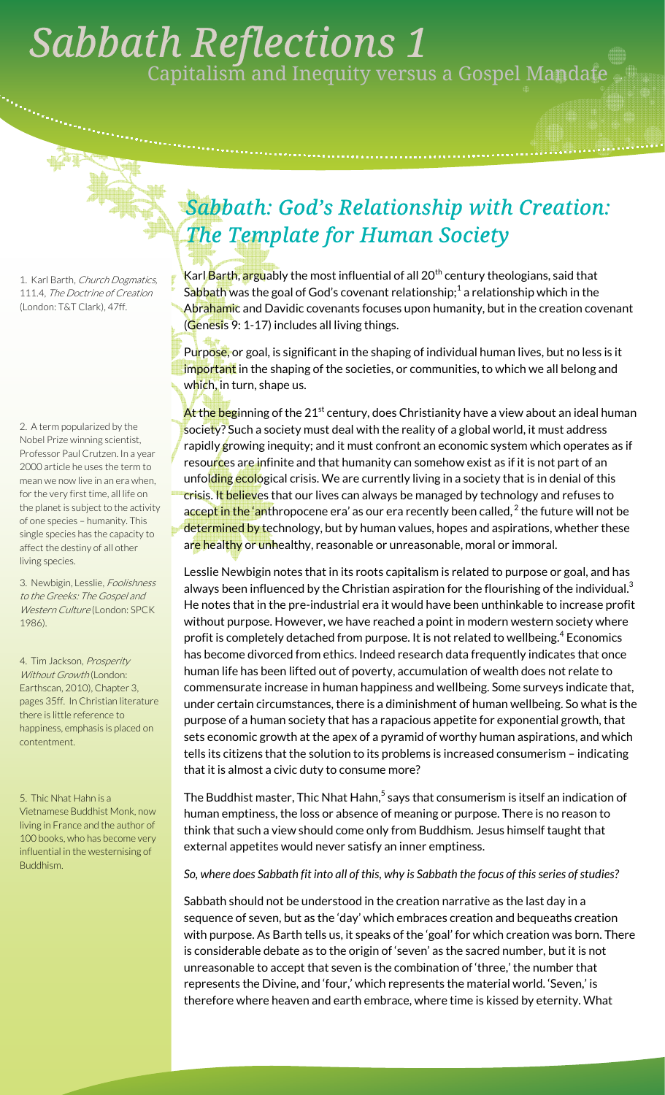## . *Sabbath Reflections 1*  Capitalism and Inequity versus a Gospel Mandate

1. Karl Barth, Church Dogmatics, 111.4, The Doctrine of Creation (London: T&T Clark), 47ff.

2. A term popularized by the Nobel Prize winning scientist, Professor Paul Crutzen. In a year 2000 article he uses the term to mean we now live in an era when, for the very first time, all life on the planet is subject to the activity of one species – humanity. This single species has the capacity to affect the destiny of all other living species.

3. Newbigin, Lesslie, Foolishness to the Greeks: The Gospel and Western Culture (London: SPCK 1986).

4. Tim Jackson, Prosperity Without Growth (London: Earthscan, 2010), Chapter 3, pages 35ff. In Christian literature there is little reference to happiness, emphasis is placed on contentment.

5. Thic Nhat Hahn is a Vietnamese Buddhist Monk, now living in France and the author of 100 books, who has become very influential in the westernising of Buddhism.

## *Sabbath: God's Relationship with Creation: The Template for Human Society*

Karl Barth, arguably the most influential of all 20<sup>th</sup> century theologians, said that Sabbath was the goal of God's covenant relationship;<sup>1</sup> a relationship which in the Abrahamic and Davidic covenants focuses upon humanity, but in the creation covenant (Genesis 9: 1-17) includes all living things.

Purpose, or goal, is significant in the shaping of individual human lives, but no less is it important in the shaping of the societies, or communities, to which we all belong and which, in turn, shape us.

At the beginning of the 21<sup>st</sup> century, does Christianity have a view about an ideal human society? Such a society must deal with the reality of a global world, it must address rapidly growing inequity; and it must confront an economic system which operates as if resou<mark>rc</mark>es are infinite and that humanity can somehow exist as if it is not part of an unfolding ecological crisis. We are currently living in a society that is in denial of this crisis. It believes that our lives can always be managed by technology and refuses to accept in the 'anthropocene era' as our era recently been called,<sup>2</sup> the future will not be determined by technology, but by human values, hopes and aspirations, whether these are healthy or unhealthy, reasonable or unreasonable, moral or immoral.

Lesslie Newbigin notes that in its roots capitalism is related to purpose or goal, and has always been influenced by the Christian aspiration for the flourishing of the individual. $3$ He notes that in the pre-industrial era it would have been unthinkable to increase profit without purpose. However, we have reached a point in modern western society where profit is completely detached from purpose. It is not related to wellbeing. $^4$  Economics has become divorced from ethics. Indeed research data frequently indicates that once human life has been lifted out of poverty, accumulation of wealth does not relate to commensurate increase in human happiness and wellbeing. Some surveys indicate that, under certain circumstances, there is a diminishment of human wellbeing. So what is the purpose of a human society that has a rapacious appetite for exponential growth, that sets economic growth at the apex of a pyramid of worthy human aspirations, and which tells its citizens that the solution to its problems is increased consumerism – indicating that it is almost a civic duty to consume more?

The Buddhist master, Thic Nhat Hahn, $^5$  says that consumerism is itself an indication of human emptiness, the loss or absence of meaning or purpose. There is no reason to think that such a view should come only from Buddhism. Jesus himself taught that external appetites would never satisfy an inner emptiness.

*So, where does Sabbath fit into all of this, why is Sabbath the focus of this series of studies?* 

Sabbath should not be understood in the creation narrative as the last day in a sequence of seven, but as the 'day' which embraces creation and bequeaths creation with purpose. As Barth tells us, it speaks of the 'goal' for which creation was born. There is considerable debate as to the origin of 'seven' as the sacred number, but it is not unreasonable to accept that seven is the combination of 'three,' the number that represents the Divine, and 'four,' which represents the material world. 'Seven,' is therefore where heaven and earth embrace, where time is kissed by eternity. What